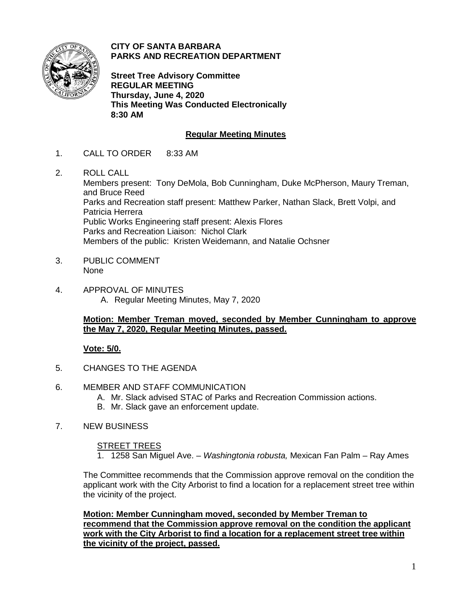

**CITY OF SANTA BARBARA PARKS AND RECREATION DEPARTMENT**

**Street Tree Advisory Committee REGULAR MEETING Thursday, June 4, 2020 This Meeting Was Conducted Electronically 8:30 AM**

# **Regular Meeting Minutes**

- 1. CALL TO ORDER 8:33 AM
- 2. ROLL CALL

Members present: Tony DeMola, Bob Cunningham, Duke McPherson, Maury Treman, and Bruce Reed Parks and Recreation staff present: Matthew Parker, Nathan Slack, Brett Volpi, and Patricia Herrera Public Works Engineering staff present: Alexis Flores Parks and Recreation Liaison: Nichol Clark Members of the public: Kristen Weidemann, and Natalie Ochsner

- 3. PUBLIC COMMENT None
- 4. APPROVAL OF MINUTES A. Regular Meeting Minutes, May 7, 2020

## **Motion: Member Treman moved, seconded by Member Cunningham to approve the May 7, 2020, Regular Meeting Minutes, passed.**

## **Vote: 5/0.**

- 5. CHANGES TO THE AGENDA
- 6. MEMBER AND STAFF COMMUNICATION
	- A. Mr. Slack advised STAC of Parks and Recreation Commission actions.
	- B. Mr. Slack gave an enforcement update.
- 7. NEW BUSINESS

#### STREET TREES

1. 1258 San Miguel Ave. – *Washingtonia robusta,* Mexican Fan Palm – Ray Ames

The Committee recommends that the Commission approve removal on the condition the applicant work with the City Arborist to find a location for a replacement street tree within the vicinity of the project.

**Motion: Member Cunningham moved, seconded by Member Treman to recommend that the Commission approve removal on the condition the applicant work with the City Arborist to find a location for a replacement street tree within the vicinity of the project, passed.**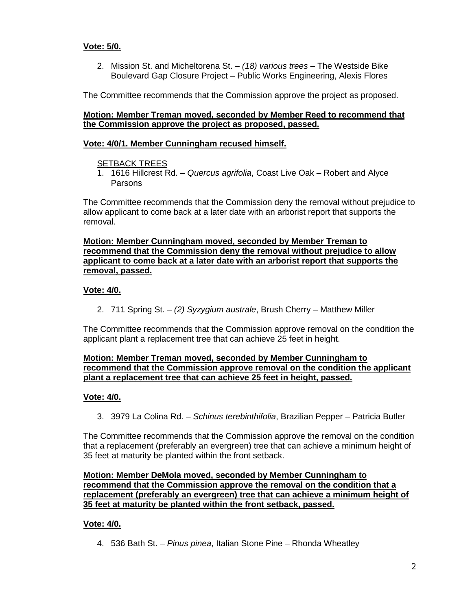## **Vote: 5/0.**

2. Mission St. and Micheltorena St. – *(18) various trees* – The Westside Bike Boulevard Gap Closure Project – Public Works Engineering, Alexis Flores

The Committee recommends that the Commission approve the project as proposed.

#### **Motion: Member Treman moved, seconded by Member Reed to recommend that the Commission approve the project as proposed, passed.**

### **Vote: 4/0/1. Member Cunningham recused himself.**

#### SETBACK TREES

1. 1616 Hillcrest Rd. – *Quercus agrifolia*, Coast Live Oak – Robert and Alyce Parsons

The Committee recommends that the Commission deny the removal without prejudice to allow applicant to come back at a later date with an arborist report that supports the removal.

**Motion: Member Cunningham moved, seconded by Member Treman to recommend that the Commission deny the removal without prejudice to allow applicant to come back at a later date with an arborist report that supports the removal, passed.** 

### **Vote: 4/0.**

2. 711 Spring St. – *(2) Syzygium australe*, Brush Cherry – Matthew Miller

The Committee recommends that the Commission approve removal on the condition the applicant plant a replacement tree that can achieve 25 feet in height.

### **Motion: Member Treman moved, seconded by Member Cunningham to recommend that the Commission approve removal on the condition the applicant plant a replacement tree that can achieve 25 feet in height, passed.**

## **Vote: 4/0.**

3. 3979 La Colina Rd. – *Schinus terebinthifolia*, Brazilian Pepper – Patricia Butler

The Committee recommends that the Commission approve the removal on the condition that a replacement (preferably an evergreen) tree that can achieve a minimum height of 35 feet at maturity be planted within the front setback.

### **Motion: Member DeMola moved, seconded by Member Cunningham to recommend that the Commission approve the removal on the condition that a replacement (preferably an evergreen) tree that can achieve a minimum height of 35 feet at maturity be planted within the front setback, passed.**

#### **Vote: 4/0.**

4. 536 Bath St. – *Pinus pinea*, Italian Stone Pine – Rhonda Wheatley